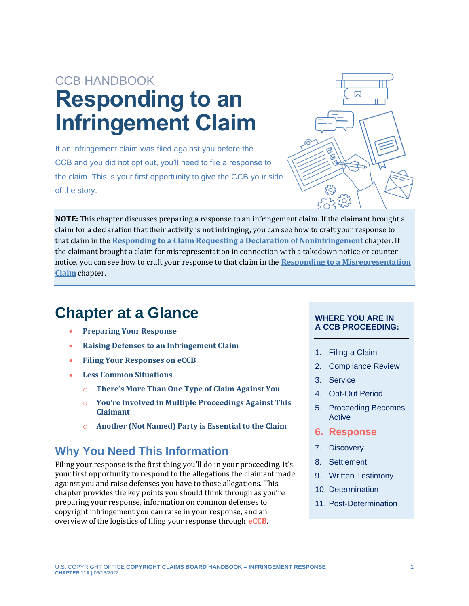# CCB HANDBOOK **Responding to an Infringement Claim**

If an infringement claim was filed against you before the CCB and you did not opt out, you'll need to file a response to the claim. This is your first opportunity to give the CCB your side of the story.



**NOTE:** This chapter discusses preparing a response to an infringement claim. If the claimant brought a claim for a declaration that their activity is not infringing, you can see how to craft your response to that claim in the **[Responding to a Claim Requesting a Declaration of Noninfringement](https://ccb.gov/handbook/Response-Noninfringement.pdf)** chapter. If the claimant brought a claim for misrepresentation in connection with a takedown notice or counternotice, you can see how to craft your response to that claim in the **[Responding to a Misrepresentation](https://ccb.gov/handbook/Response-Misrepresentation.pdf)  [Claim](https://ccb.gov/handbook/Response-Misrepresentation.pdf)** chapter.

# **Chapter at a Glance**

- **[Preparing Your Response](#page-1-0)**
- **[Raising Defenses to an Infringement Claim](#page-4-0)**
- **[Filing Your Responses on](#page-12-0) eCCB**
- **[Less Common Situations](#page-14-0)**
	- o **[There's More Than One Type of Claim Against You](#page-14-1)**
	- o **[You're Involved in Multiple Proceedings Against This](#page-14-2)  [Claimant](#page-14-2)**
	- o **[Another \(Not Named\) Party is Essential to the Claim](#page-14-3)**

## **Why You Need This Information**

Filing your response is the first thing you'll do in your proceeding. It's your first opportunity to respond to the allegations the claimant made against you and raise defenses you have to those allegations. This chapter provides the key points you should think through as you're preparing your response, information on common defenses to copyright infringement you can raise in your response, and an overview of the logistics of filing your response through **[eCCB](#page-15-0)**.

#### **WHERE YOU ARE IN A CCB PROCEEDING:**

- 1. Filing a Claim
- 2. Compliance Review
- 3. Service
- 4. Opt-Out Period
- 5. Proceeding Becomes Active
- **6. Response**
- 7. Discovery
- 8. Settlement
- 9. Written Testimony
- 10. Determination
- <span id="page-0-0"></span>11. Post-Determination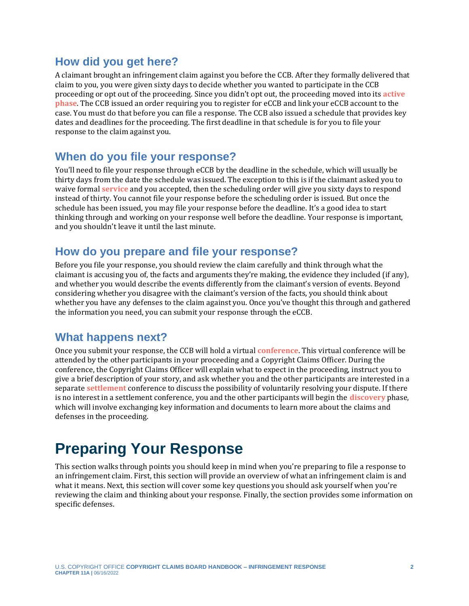## **How did you get here?**

<span id="page-1-1"></span>A claimant brought an infringement claim against you before the CCB. After they formally delivered that claim to you, you were given sixty days to decide whether you wanted to participate in the CCB proceeding or opt out of the proceeding. Since you didn't opt out, the proceeding moved into its **[active](#page-15-0)  [phase](#page-15-0)**. The CCB issued an order requiring you to register for eCCB and link your eCCB account to the case. You must do that before you can file a response. The CCB also issued a schedule that provides key dates and deadlines for the proceeding. The first deadline in that schedule is for you to file your response to the claim against you.

#### **When do you file your response?**

<span id="page-1-4"></span>You'll need to file your response through eCCB by the deadline in the schedule, which will usually be thirty days from the date the schedule was issued. The exception to this is if the claimant asked you to waive formal **[service](#page-15-0)** and you accepted, then the scheduling order will give you sixty days to respond instead of thirty. You cannot file your response before the scheduling order is issued. But once the schedule has been issued, you may file your response before the deadline. It's a good idea to start thinking through and working on your response well before the deadline. Your response is important, and you shouldn't leave it until the last minute.

## **How do you prepare and file your response?**

Before you file your response, you should review the claim carefully and think through what the claimant is accusing you of, the facts and arguments they're making, the evidence they included (if any), and whether you would describe the events differently from the claimant's version of events. Beyond considering whether you disagree with the claimant's version of the facts, you should think about whether you have any defenses to the claim against you. Once you've thought this through and gathered the information you need, you can submit your response through the eCCB.

## **What happens next?**

<span id="page-1-5"></span><span id="page-1-3"></span><span id="page-1-2"></span>Once you submit your response, the CCB will hold a virtual **[conference](#page-15-0)**. This virtual conference will be attended by the other participants in your proceeding and a Copyright Claims Officer. During the conference, the Copyright Claims Officer will explain what to expect in the proceeding, instruct you to give a brief description of your story, and ask whether you and the other participants are interested in a separate **[settlement](#page-15-0)** conference to discuss the possibility of voluntarily resolving your dispute. If there is no interest in a settlement conference, you and the other participants will begin the **[discovery](#page-15-0)** phase, which will involve exchanging key information and documents to learn more about the claims and defenses in the proceeding.

# <span id="page-1-0"></span>**Preparing Your Response**

This section walks through points you should keep in mind when you're preparing to file a response to an infringement claim. First, this section will provide an overview of what an infringement claim is and what it means. Next, this section will cover some key questions you should ask yourself when you're reviewing the claim and thinking about your response. Finally, the section provides some information on specific defenses.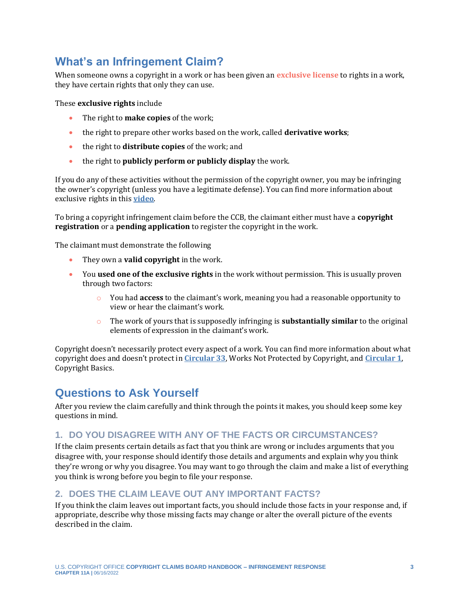## **What's an Infringement Claim?**

When someone owns a copyright in a work or has been given an **[exclusive license](#page-15-0)** to rights in a work, they have certain rights that only they can use.

These **exclusive rights** include

- <span id="page-2-0"></span>• The right to **make copies** of the work;
- the right to prepare other works based on the work, called **derivative works**;
- the right to **distribute copies** of the work; and
- the right to **publicly perform or publicly display** the work.

If you do any of these activities without the permission of the copyright owner, you may be infringing the owner's copyright (unless you have a legitimate defense). You can find more information about exclusive rights in this **[video](https://www.youtube.com/watch?v=Im80FZKTKIk)**.

To bring a copyright infringement claim before the CCB, the claimant either must have a **copyright registration** or a **pending application** to register the copyright in the work.

The claimant must demonstrate the following

- They own a **valid copyright** in the work.
- You **used one of the exclusive rights** in the work without permission. This is usually proven through two factors:
	- o You had **access** to the claimant's work, meaning you had a reasonable opportunity to view or hear the claimant's work.
	- o The work of yours that is supposedly infringing is **substantially similar** to the original elements of expression in the claimant's work.

Copyright doesn't necessarily protect every aspect of a work. You can find more information about what copyright does and doesn't protect in **[Circular 33](https://www.copyright.gov/circs/circ33.pdf)**, Works Not Protected by Copyright, and **[Circular 1](https://www.copyright.gov/circs/circ01.pdf)**, Copyright Basics.

## **Questions to Ask Yourself**

After you review the claim carefully and think through the points it makes, you should keep some key questions in mind.

#### **1. DO YOU DISAGREE WITH ANY OF THE FACTS OR CIRCUMSTANCES?**

If the claim presents certain details as fact that you think are wrong or includes arguments that you disagree with, your response should identify those details and arguments and explain why you think they're wrong or why you disagree. You may want to go through the claim and make a list of everything you think is wrong before you begin to file your response.

#### **2. DOES THE CLAIM LEAVE OUT ANY IMPORTANT FACTS?**

If you think the claim leaves out important facts, you should include those facts in your response and, if appropriate, describe why those missing facts may change or alter the overall picture of the events described in the claim.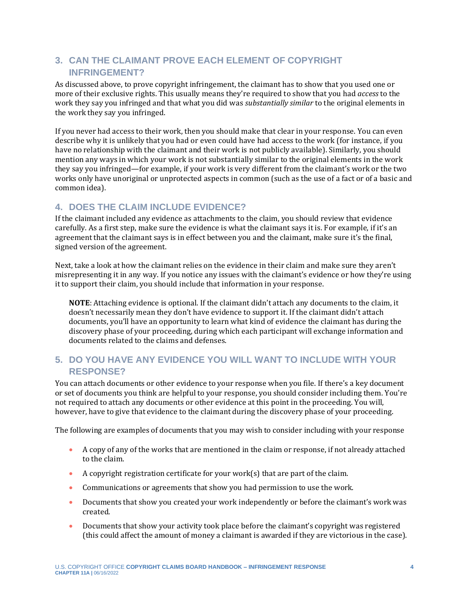#### **3. CAN THE CLAIMANT PROVE EACH ELEMENT OF COPYRIGHT INFRINGEMENT?**

As discussed above, to prove copyright infringement, the claimant has to show that you used one or more of their exclusive rights. This usually means they're required to show that you had *access* to the work they say you infringed and that what you did was *substantially similar* to the original elements in the work they say you infringed.

If you never had access to their work, then you should make that clear in your response. You can even describe why it is unlikely that you had or even could have had access to the work (for instance, if you have no relationship with the claimant and their work is not publicly available). Similarly, you should mention any ways in which your work is not substantially similar to the original elements in the work they say you infringed—for example, if your work is very different from the claimant's work or the two works only have unoriginal or unprotected aspects in common (such as the use of a fact or of a basic and common idea).

#### **4. DOES THE CLAIM INCLUDE EVIDENCE?**

If the claimant included any evidence as attachments to the claim, you should review that evidence carefully. As a first step, make sure the evidence is what the claimant says it is. For example, if it's an agreement that the claimant says is in effect between you and the claimant, make sure it's the final, signed version of the agreement.

Next, take a look at how the claimant relies on the evidence in their claim and make sure they aren't misrepresenting it in any way. If you notice any issues with the claimant's evidence or how they're using it to support their claim, you should include that information in your response.

**NOTE**: Attaching evidence is optional. If the claimant didn't attach any documents to the claim, it doesn't necessarily mean they don't have evidence to support it. If the claimant didn't attach documents, you'll have an opportunity to learn what kind of evidence the claimant has during the discovery phase of your proceeding, during which each participant will exchange information and documents related to the claims and defenses.

#### **5. DO YOU HAVE ANY EVIDENCE YOU WILL WANT TO INCLUDE WITH YOUR RESPONSE?**

You can attach documents or other evidence to your response when you file. If there's a key document or set of documents you think are helpful to your response, you should consider including them. You're not required to attach any documents or other evidence at this point in the proceeding. You will, however, have to give that evidence to the claimant during the discovery phase of your proceeding.

The following are examples of documents that you may wish to consider including with your response

- A copy of any of the works that are mentioned in the claim or response, if not already attached to the claim.
- A copyright registration certificate for your work(s) that are part of the claim.
- Communications or agreements that show you had permission to use the work.
- Documents that show you created your work independently or before the claimant's work was created.
- Documents that show your activity took place before the claimant's copyright was registered (this could affect the amount of money a claimant is awarded if they are victorious in the case).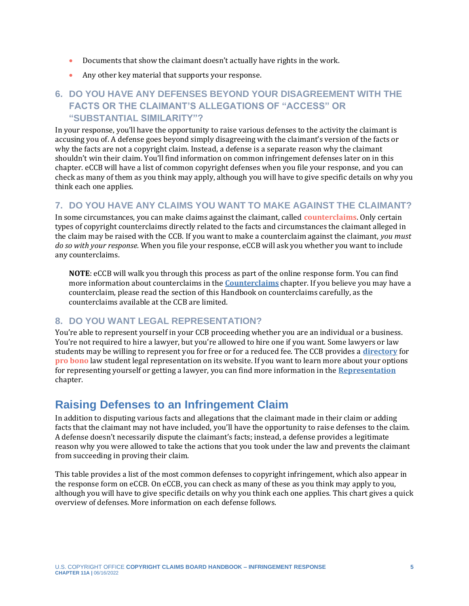- Documents that show the claimant doesn't actually have rights in the work.
- Any other key material that supports your response.

### **6. DO YOU HAVE ANY DEFENSES BEYOND YOUR DISAGREEMENT WITH THE FACTS OR THE CLAIMANT'S ALLEGATIONS OF "ACCESS" OR "SUBSTANTIAL SIMILARITY"?**

In your response, you'll have the opportunity to raise various defenses to the activity the claimant is accusing you of. A defense goes beyond simply disagreeing with the claimant's version of the facts or why the facts are not a copyright claim. Instead, a defense is a separate reason why the claimant shouldn't win their claim. You'll find information on common infringement defenses later on in this chapter. eCCB will have a list of common copyright defenses when you file your response, and you can check as many of them as you think may apply, although you will have to give specific details on why you think each one applies.

#### **7. DO YOU HAVE ANY CLAIMS YOU WANT TO MAKE AGAINST THE CLAIMANT?**

In some circumstances, you can make claims against the claimant, called **[counterclaims](#page-15-0)**. Only certain types of copyright counterclaims directly related to the facts and circumstances the claimant alleged in the claim may be raised with the CCB. If you want to make a counterclaim against the claimant, *you must do so with your response*. When you file your response, eCCB will ask you whether you want to include any counterclaims.

<span id="page-4-1"></span>**NOTE**: eCCB will walk you through this process as part of the online response form. You can find more information about counterclaims in the **[Counterclaims](https://ccb.gov/handbook/Counterclaims.pdf)** chapter. If you believe you may have a counterclaim, please read the section of this Handbook on counterclaims carefully, as the counterclaims available at the CCB are limited.

#### **8. DO YOU WANT LEGAL REPRESENTATION?**

<span id="page-4-2"></span>You're able to represent yourself in your CCB proceeding whether you are an individual or a business. You're not required to hire a lawyer, but you're allowed to hire one if you want. Some lawyers or law students may be willing to represent you for free or for a reduced fee. The CCB provides a **[directory](https://ccb.gov/pro-bono-assistance/)** for **[pro bono](#page-15-0)** law student legal representation on its website. If you want to learn more about your options for representing yourself or getting a lawyer, you can find more information in the **[Representation](https://ccb.gov/handbook/Representation.pdf)** chapter.

## <span id="page-4-0"></span>**Raising Defenses to an Infringement Claim**

In addition to disputing various facts and allegations that the claimant made in their claim or adding facts that the claimant may not have included, you'll have the opportunity to raise defenses to the claim. A defense doesn't necessarily dispute the claimant's facts; instead, a defense provides a legitimate reason why you were allowed to take the actions that you took under the law and prevents the claimant from succeeding in proving their claim.

This table provides a list of the most common defenses to copyright infringement, which also appear in the response form on eCCB. On eCCB, you can check as many of these as you think may apply to you, although you will have to give specific details on why you think each one applies. This chart gives a quick overview of defenses. More information on each defense follows.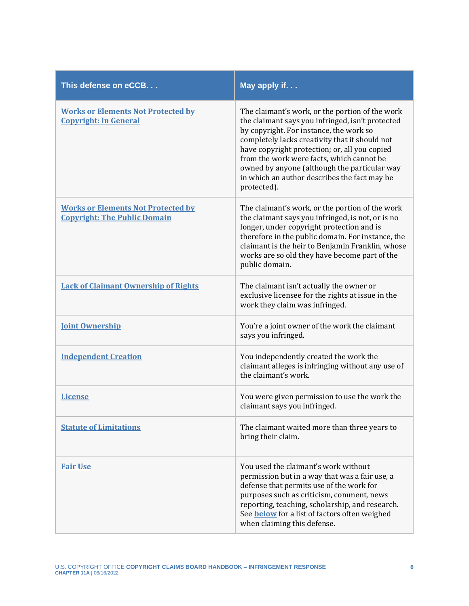| This defense on eCCB.                                                            | May apply if                                                                                                                                                                                                                                                                                                                                                                                                  |
|----------------------------------------------------------------------------------|---------------------------------------------------------------------------------------------------------------------------------------------------------------------------------------------------------------------------------------------------------------------------------------------------------------------------------------------------------------------------------------------------------------|
| <b>Works or Elements Not Protected by</b><br><b>Copyright: In General</b>        | The claimant's work, or the portion of the work<br>the claimant says you infringed, isn't protected<br>by copyright. For instance, the work so<br>completely lacks creativity that it should not<br>have copyright protection; or, all you copied<br>from the work were facts, which cannot be<br>owned by anyone (although the particular way<br>in which an author describes the fact may be<br>protected). |
| <b>Works or Elements Not Protected by</b><br><b>Copyright: The Public Domain</b> | The claimant's work, or the portion of the work<br>the claimant says you infringed, is not, or is no<br>longer, under copyright protection and is<br>therefore in the public domain. For instance, the<br>claimant is the heir to Benjamin Franklin, whose<br>works are so old they have become part of the<br>public domain.                                                                                 |
| <b>Lack of Claimant Ownership of Rights</b>                                      | The claimant isn't actually the owner or<br>exclusive licensee for the rights at issue in the<br>work they claim was infringed.                                                                                                                                                                                                                                                                               |
| <b>Joint Ownership</b>                                                           | You're a joint owner of the work the claimant<br>says you infringed.                                                                                                                                                                                                                                                                                                                                          |
| <b>Independent Creation</b>                                                      | You independently created the work the<br>claimant alleges is infringing without any use of<br>the claimant's work.                                                                                                                                                                                                                                                                                           |
| <b>License</b>                                                                   | You were given permission to use the work the<br>claimant says you infringed.                                                                                                                                                                                                                                                                                                                                 |
| <b>Statute of Limitations</b>                                                    | The claimant waited more than three years to<br>bring their claim.                                                                                                                                                                                                                                                                                                                                            |
| <b>Fair Use</b>                                                                  | You used the claimant's work without<br>permission but in a way that was a fair use, a<br>defense that permits use of the work for<br>purposes such as criticism, comment, news<br>reporting, teaching, scholarship, and research.<br>See <b>below</b> for a list of factors often weighed<br>when claiming this defense.                                                                                     |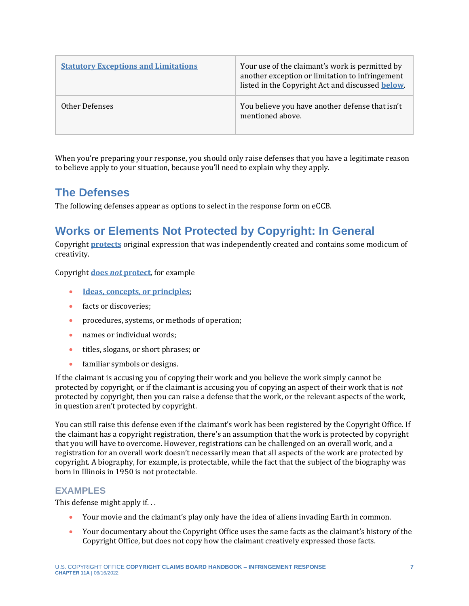| <b>Statutory Exceptions and Limitations</b> | Your use of the claimant's work is permitted by<br>another exception or limitation to infringement<br>listed in the Copyright Act and discussed <b>below</b> . |
|---------------------------------------------|----------------------------------------------------------------------------------------------------------------------------------------------------------------|
| Other Defenses                              | You believe you have another defense that isn't<br>mentioned above.                                                                                            |

When you're preparing your response, you should only raise defenses that you have a legitimate reason to believe apply to your situation, because you'll need to explain why they apply.

## **The Defenses**

The following defenses appear as options to select in the response form on eCCB.

## <span id="page-6-0"></span>**Works or Elements Not Protected by Copyright: In General**

Copyright **[protects](https://www.copyright.gov/circs/circ01.pdf)** original expression that was independently created and contains some modicum of creativity.

Copyright **does** *not* **[protect](https://www.copyright.gov/circs/circ33.pdf)**, for example

- **[Ideas, concepts, or principles](https://youtu.be/6DqSJ5uYtPg)**;
- facts or discoveries:
- procedures, systems, or methods of operation;
- names or individual words;
- titles, slogans, or short phrases; or
- familiar symbols or designs.

If the claimant is accusing you of copying their work and you believe the work simply cannot be protected by copyright, or if the claimant is accusing you of copying an aspect of their work that is *not* protected by copyright, then you can raise a defense that the work, or the relevant aspects of the work, in question aren't protected by copyright.

You can still raise this defense even if the claimant's work has been registered by the Copyright Office. If the claimant has a copyright registration, there's an assumption that the work is protected by copyright that you will have to overcome. However, registrations can be challenged on an overall work, and a registration for an overall work doesn't necessarily mean that all aspects of the work are protected by copyright. A biography, for example, is protectable, while the fact that the subject of the biography was born in Illinois in 1950 is not protectable.

#### **EXAMPLES**

This defense might apply if. . .

- Your movie and the claimant's play only have the idea of aliens invading Earth in common.
- Your documentary about the Copyright Office uses the same facts as the claimant's history of the Copyright Office, but does not copy how the claimant creatively expressed those facts.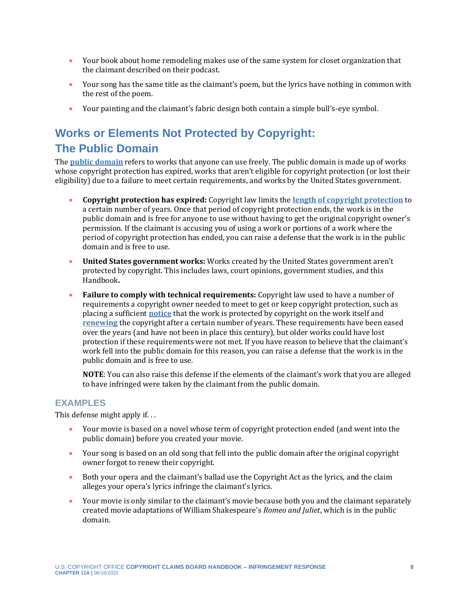- Your book about home remodeling makes use of the same system for closet organization that the claimant described on their podcast.
- Your song has the same title as the claimant's poem, but the lyrics have nothing in common with the rest of the poem.
- Your painting and the claimant's fabric design both contain a simple bull's-eye symbol.

## <span id="page-7-0"></span>**Works or Elements Not Protected by Copyright: The Public Domain**

The **[public domain](https://youtu.be/PMp_-OX15Jc)** refers to works that anyone can use freely. The public domain is made up of works whose copyright protection has expired, works that aren't eligible for copyright protection (or lost their eligibility) due to a failure to meet certain requirements, and works by the United States government.

- **Copyright protection has expired:** Copyright law limits the **[length of copyright protection](https://www.copyright.gov/circs/circ15a.pdf)** to a certain number of years. Once that period of copyright protection ends, the work is in the public domain and is free for anyone to use without having to get the original copyright owner's permission. If the claimant is accusing you of using a work or portions of a work where the period of copyright protection has ended, you can raise a defense that the work is in the public domain and is free to use.
- **United States government works:** Works created by the United States government aren't protected by copyright. This includes laws, court opinions, government studies, and this Handbook**.**
- **Failure to comply with technical requirements:** Copyright law used to have a number of requirements a copyright owner needed to meet to get or keep copyright protection, such as placing a sufficient **[notice](https://www.copyright.gov/circs/circ03.pdf)** that the work is protected by copyright on the work itself and **[renewing](https://www.copyright.gov/circs/circ06a.pdf)** the copyright after a certain number of years. These requirements have been eased over the years (and have not been in place this century), but older works could have lost protection if these requirements were not met. If you have reason to believe that the claimant's work fell into the public domain for this reason, you can raise a defense that the work is in the public domain and is free to use.

**NOTE**: You can also raise this defense if the elements of the claimant's work that you are alleged to have infringed were taken by the claimant from the public domain.

#### **EXAMPLES**

This defense might apply if. . .

- Your movie is based on a novel whose term of copyright protection ended (and went into the public domain) before you created your movie.
- Your song is based on an old song that fell into the public domain after the original copyright owner forgot to renew their copyright.
- Both your opera and the claimant's ballad use the Copyright Act as the lyrics, and the claim alleges your opera's lyrics infringe the claimant's lyrics.
- Your movie is only similar to the claimant's movie because both you and the claimant separately created movie adaptations of William Shakespeare's *Romeo and Juliet*, which is in the public domain.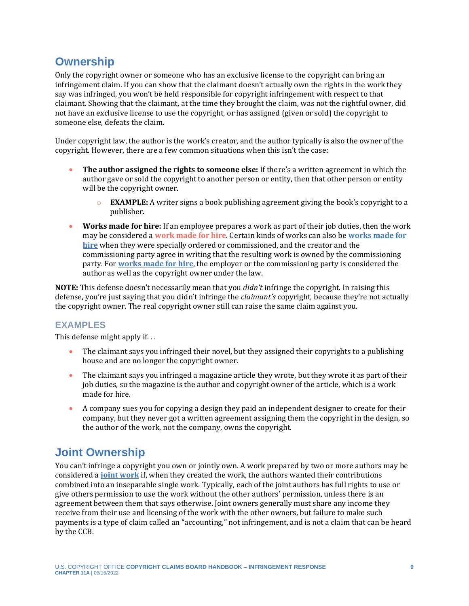## <span id="page-8-0"></span>**Ownership**

Only the copyright owner or someone who has an exclusive license to the copyright can bring an infringement claim. If you can show that the claimant doesn't actually own the rights in the work they say was infringed, you won't be held responsible for copyright infringement with respect to that claimant. Showing that the claimant, at the time they brought the claim, was not the rightful owner, did not have an exclusive license to use the copyright, or has assigned (given or sold) the copyright to someone else, defeats the claim.

Under copyright law, the author is the work's creator, and the author typically is also the owner of the copyright. However, there are a few common situations when this isn't the case:

- **The author assigned the rights to someone else:** If there's a written agreement in which the author gave or sold the copyright to another person or entity, then that other person or entity will be the copyright owner.
	- o **EXAMPLE:** A writer signs a book publishing agreement giving the book's copyright to a publisher.
- <span id="page-8-2"></span>• **Works made for hire:** If an employee prepares a work as part of their job duties, then the work may be considered a **[work made for hire](#page-15-0)**. Certain kinds of works can also be **[works made for](https://www.copyright.gov/circs/circ30.pdf)  [hire](https://www.copyright.gov/circs/circ30.pdf)** when they were specially ordered or commissioned, and the creator and the commissioning party agree in writing that the resulting work is owned by the commissioning party. For **[works made for](https://youtu.be/G3hDdlMsFh8) hire**, the employer or the commissioning party is considered the author as well as the copyright owner under the law.

**NOTE:** This defense doesn't necessarily mean that you *didn't* infringe the copyright. In raising this defense, you're just saying that you didn't infringe the *claimant's* copyright, because they're not actually the copyright owner. The real copyright owner still can raise the same claim against you.

#### **EXAMPLES**

This defense might apply if. . .

- The claimant says you infringed their novel, but they assigned their copyrights to a publishing house and are no longer the copyright owner.
- The claimant says you infringed a magazine article they wrote, but they wrote it as part of their job duties, so the magazine is the author and copyright owner of the article, which is a work made for hire.
- A company sues you for copying a design they paid an independent designer to create for their company, but they never got a written agreement assigning them the copyright in the design, so the author of the work, not the company, owns the copyright.

## <span id="page-8-1"></span>**Joint Ownership**

You can't infringe a copyright you own or jointly own. A work prepared by two or more authors may be considered a **[joint work](https://youtu.be/gj6C-haH_oo)** if, when they created the work, the authors wanted their contributions combined into an inseparable single work. Typically, each of the joint authors has full rights to use or give others permission to use the work without the other authors' permission, unless there is an agreement between them that says otherwise. Joint owners generally must share any income they receive from their use and licensing of the work with the other owners, but failure to make such payments is a type of claim called an "accounting," not infringement, and is not a claim that can be heard by the CCB.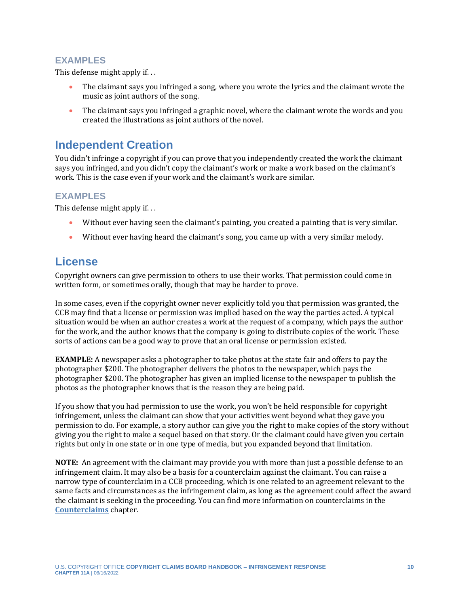#### **EXAMPLES**

This defense might apply if. . .

- The claimant says you infringed a song, where you wrote the lyrics and the claimant wrote the music as joint authors of the song.
- The claimant says you infringed a graphic novel, where the claimant wrote the words and you created the illustrations as joint authors of the novel.

## <span id="page-9-0"></span>**Independent Creation**

You didn't infringe a copyright if you can prove that you independently created the work the claimant says you infringed, and you didn't copy the claimant's work or make a work based on the claimant's work. This is the case even if your work and the claimant's work are similar.

#### **EXAMPLES**

This defense might apply if...

- Without ever having seen the claimant's painting, you created a painting that is very similar.
- Without ever having heard the claimant's song, you came up with a very similar melody.

## <span id="page-9-1"></span>**License**

Copyright owners can give permission to others to use their works. That permission could come in written form, or sometimes orally, though that may be harder to prove.

In some cases, even if the copyright owner never explicitly told you that permission was granted, the CCB may find that a license or permission was implied based on the way the parties acted. A typical situation would be when an author creates a work at the request of a company, which pays the author for the work, and the author knows that the company is going to distribute copies of the work. These sorts of actions can be a good way to prove that an oral license or permission existed.

**EXAMPLE:** A newspaper asks a photographer to take photos at the state fair and offers to pay the photographer \$200. The photographer delivers the photos to the newspaper, which pays the photographer \$200. The photographer has given an implied license to the newspaper to publish the photos as the photographer knows that is the reason they are being paid.

If you show that you had permission to use the work, you won't be held responsible for copyright infringement, unless the claimant can show that your activities went beyond what they gave you permission to do. For example, a story author can give you the right to make copies of the story without giving you the right to make a sequel based on that story. Or the claimant could have given you certain rights but only in one state or in one type of media, but you expanded beyond that limitation.

**NOTE:** An agreement with the claimant may provide you with more than just a possible defense to an infringement claim. It may also be a basis for a counterclaim against the claimant. You can raise a narrow type of counterclaim in a CCB proceeding, which is one related to an agreement relevant to the same facts and circumstances as the infringement claim, as long as the agreement could affect the award the claimant is seeking in the proceeding. You can find more information on counterclaims in the **[Counterclaims](https://ccb.gov/handbook/Counterclaims.pdf)** chapter.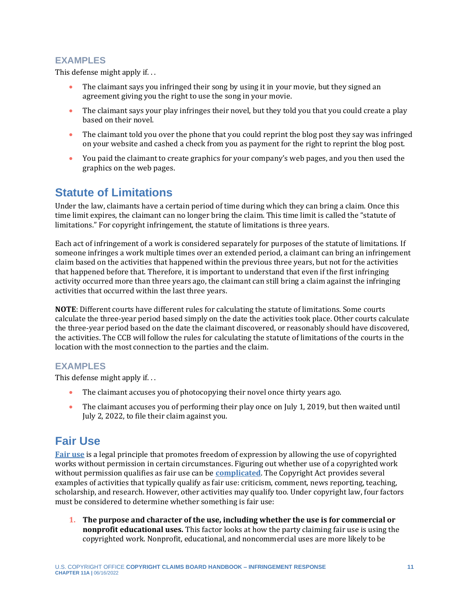#### **EXAMPLES**

This defense might apply if. . .

- The claimant says you infringed their song by using it in your movie, but they signed an agreement giving you the right to use the song in your movie.
- The claimant says your play infringes their novel, but they told you that you could create a play based on their novel.
- The claimant told you over the phone that you could reprint the blog post they say was infringed on your website and cashed a check from you as payment for the right to reprint the blog post.
- You paid the claimant to create graphics for your company's web pages, and you then used the graphics on the web pages.

## <span id="page-10-0"></span>**Statute of Limitations**

Under the law, claimants have a certain period of time during which they can bring a claim. Once this time limit expires, the claimant can no longer bring the claim. This time limit is called the "statute of limitations." For copyright infringement, the statute of limitations is three years.

Each act of infringement of a work is considered separately for purposes of the statute of limitations. If someone infringes a work multiple times over an extended period, a claimant can bring an infringement claim based on the activities that happened within the previous three years, but not for the activities that happened before that. Therefore, it is important to understand that even if the first infringing activity occurred more than three years ago, the claimant can still bring a claim against the infringing activities that occurred within the last three years.

**NOTE**: Different courts have different rules for calculating the statute of limitations. Some courts calculate the three-year period based simply on the date the activities took place. Other courts calculate the three-year period based on the date the claimant discovered, or reasonably should have discovered, the activities. The CCB will follow the rules for calculating the statute of limitations of the courts in the location with the most connection to the parties and the claim.

#### **EXAMPLES**

This defense might apply if. . .

- The claimant accuses you of photocopying their novel once thirty years ago.
- The claimant accuses you of performing their play once on July 1, 2019, but then waited until July 2, 2022, to file their claim against you.

## <span id="page-10-1"></span>**Fair Use**

**[Fair use](https://youtu.be/IFhF_tHrj4s)** is a legal principle that promotes freedom of expression by allowing the use of copyrighted works without permission in certain circumstances. Figuring out whether use of a copyrighted work without permission qualifies as fair use can be **[complicated](https://www.copyright.gov/fair-use/)**. The Copyright Act provides several examples of activities that typically qualify as fair use: criticism, comment, news reporting, teaching, scholarship, and research. However, other activities may qualify too. Under copyright law, four factors must be considered to determine whether something is fair use:

**1. The purpose and character of the use, including whether the use is for commercial or nonprofit educational uses.** This factor looks at how the party claiming fair use is using the copyrighted work. Nonprofit, educational, and noncommercial uses are more likely to be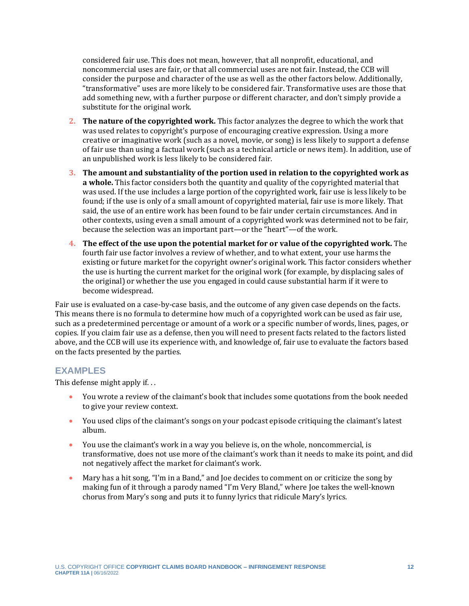considered fair use. This does not mean, however, that all nonprofit, educational, and noncommercial uses are fair, or that all commercial uses are not fair. Instead, the CCB will consider the purpose and character of the use as well as the other factors below. Additionally, "transformative" uses are more likely to be considered fair. Transformative uses are those that add something new, with a further purpose or different character, and don't simply provide a substitute for the original work.

- **2. The nature of the copyrighted work.** This factor analyzes the degree to which the work that was used relates to copyright's purpose of encouraging creative expression. Using a more creative or imaginative work (such as a novel, movie, or song) is less likely to support a defense of fair use than using a factual work (such as a technical article or news item). In addition, use of an unpublished work is less likely to be considered fair.
- **3. The amount and substantiality of the portion used in relation to the copyrighted work as a whole.** This factor considers both the quantity and quality of the copyrighted material that was used. If the use includes a large portion of the copyrighted work, fair use is less likely to be found; if the use is only of a small amount of copyrighted material, fair use is more likely. That said, the use of an entire work has been found to be fair under certain circumstances. And in other contexts, using even a small amount of a copyrighted work was determined not to be fair, because the selection was an important part—or the "heart"—of the work.
- **4. The effect of the use upon the potential market for or value of the copyrighted work.** The fourth fair use factor involves a review of whether, and to what extent, your use harms the existing or future market for the copyright owner's original work. This factor considers whether the use is hurting the current market for the original work (for example, by displacing sales of the original) or whether the use you engaged in could cause substantial harm if it were to become widespread.

Fair use is evaluated on a case-by-case basis, and the outcome of any given case depends on the facts. This means there is no formula to determine how much of a copyrighted work can be used as fair use, such as a predetermined percentage or amount of a work or a specific number of words, lines, pages, or copies. If you claim fair use as a defense, then you will need to present facts related to the factors listed above, and the CCB will use its experience with, and knowledge of, fair use to evaluate the factors based on the facts presented by the parties.

#### **EXAMPLES**

This defense might apply if. . .

- You wrote a review of the claimant's book that includes some quotations from the book needed to give your review context.
- You used clips of the claimant's songs on your podcast episode critiquing the claimant's latest album.
- You use the claimant's work in a way you believe is, on the whole, noncommercial, is transformative, does not use more of the claimant's work than it needs to make its point, and did not negatively affect the market for claimant's work.
- Mary has a hit song, "I'm in a Band," and Joe decides to comment on or criticize the song by making fun of it through a parody named "I'm Very Bland," where Joe takes the well-known chorus from Mary's song and puts it to funny lyrics that ridicule Mary's lyrics.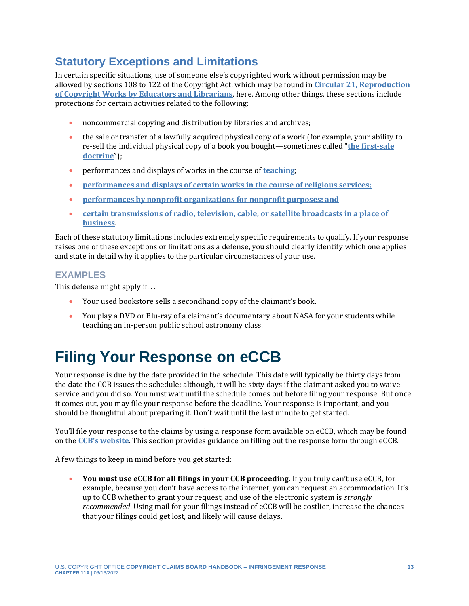## <span id="page-12-1"></span>**Statutory Exceptions and Limitations**

In certain specific situations, use of someone else's copyrighted work without permission may be allowed by sections 108 to 122 of the Copyright Act, which may be found in **[Circular 21, Reproduction](https://www.copyright.gov/circs/circ21.pdf)  [of Copyright Works by Educators and Librarians](https://www.copyright.gov/circs/circ21.pdf)**. here. Among other things, these sections include protections for certain activities related to the following:

- noncommercial copying and distribution by libraries and archives;
- the sale or transfer of a lawfully acquired physical copy of a work (for example, your ability to re-sell the individual physical copy of a book you bought—sometimes called "**[the first-sale](https://www.copyright.gov/title17/92chap1.html#109)  [doctrine](https://www.copyright.gov/title17/92chap1.html#109)**");
- performances and displays of works in the course of **[teaching](https://youtu.be/ruV2qn7xyU0)**;
- **[performances and displays of certain works in the course of religious services;](https://www.copyright.gov/title17/92chap1.html#110)**
- **[performances by nonprofit organizations for nonprofit purposes; and](https://www.copyright.gov/title17/92chap1.html#110)**
- **[certain transmissions of radio, television, cable, or satellite broadcasts in a place of](https://www.copyright.gov/title17/92chap1.html#110)  [business](https://www.copyright.gov/title17/92chap1.html#110)**.

Each of these statutory limitations includes extremely specific requirements to qualify. If your response raises one of these exceptions or limitations as a defense, you should clearly identify which one applies and state in detail why it applies to the particular circumstances of your use.

#### **EXAMPLES**

This defense might apply if. . .

- Your used bookstore sells a secondhand copy of the claimant's book.
- You play a DVD or Blu-ray of a claimant's documentary about NASA for your students while teaching an in-person public school astronomy class.

# <span id="page-12-0"></span>**Filing Your Response on eCCB**

Your response is due by the date provided in the schedule. This date will typically be thirty days from the date the CCB issues the schedule; although, it will be sixty days if the claimant asked you to waive service and you did so. You must wait until the schedule comes out before filing your response. But once it comes out, you may file your response before the deadline. Your response is important, and you should be thoughtful about preparing it. Don't wait until the last minute to get started.

You'll file your response to the claims by using a response form available on eCCB, which may be found on the **[CCB's website](https://ccb.gov/access-a-claim/)**. This section provides guidance on filling out the response form through eCCB.

A few things to keep in mind before you get started:

• **You must use eCCB for all filings in your CCB proceeding.** If you truly can't use eCCB, for example, because you don't have access to the internet, you can request an accommodation. It's up to CCB whether to grant your request, and use of the electronic system is *strongly recommended*. Using mail for your filings instead of eCCB will be costlier, increase the chances that your filings could get lost, and likely will cause delays.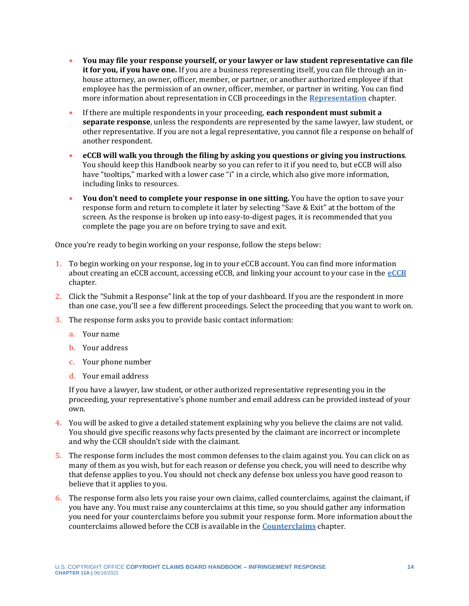- **You may file your response yourself, or your lawyer or law student representative can file it for you, if you have one.** If you are a business representing itself, you can file through an inhouse attorney, an owner, officer, member, or partner, or another authorized employee if that employee has the permission of an owner, officer, member, or partner in writing. You can find more information about representation in CCB proceedings in the **[Representation](https://ccb.gov/handbook/Representation.pdf)** chapter.
- If there are multiple respondents in your proceeding, **each respondent must submit a separate response**, unless the respondents are represented by the same lawyer, law student, or other representative. If you are not a legal representative, you cannot file a response on behalf of another respondent.
- **eCCB will walk you through the filing by asking you questions or giving you instructions**. You should keep this Handbook nearby so you can refer to it if you need to, but eCCB will also have "tooltips," marked with a lower case "i" in a circle, which also give more information, including links to resources.
- **You don't need to complete your response in one sitting.** You have the option to save your response form and return to complete it later by selecting "Save & Exit" at the bottom of the screen. As the response is broken up into easy-to-digest pages, it is recommended that you complete the page you are on before trying to save and exit.

Once you're ready to begin working on your response, follow the steps below:

- **1.** To begin working on your response, log in to your eCCB account. You can find more information about creating an eCCB account, accessing eCCB, and linking your account to your case in the **[eCCB](https://ccb.gov/handbook/eCCB.pdf)** chapter.
- **2.** Click the "Submit a Response" link at the top of your dashboard. If you are the respondent in more than one case, you'll see a few different proceedings. Select the proceeding that you want to work on.
- **3.** The response form asks you to provide basic contact information:
	- **a.** Your name
	- **b.** Your address
	- **c.** Your phone number
	- **d.** Your email address

If you have a lawyer, law student, or other authorized representative representing you in the proceeding, your representative's phone number and email address can be provided instead of your own.

- **4.** You will be asked to give a detailed statement explaining why you believe the claims are not valid. You should give specific reasons why facts presented by the claimant are incorrect or incomplete and why the CCB shouldn't side with the claimant.
- **5.** The response form includes the most common defenses to the claim against you. You can click on as many of them as you wish, but for each reason or defense you check, you will need to describe why that defense applies to you. You should not check any defense box unless you have good reason to believe that it applies to you.
- **6.** The response form also lets you raise your own claims, called counterclaims, against the claimant, if you have any. You must raise any counterclaims at this time, so you should gather any information you need for your counterclaims before you submit your response form. More information about the counterclaims allowed before the CCB is available in the **[Counterclaims](https://ccb.gov/handbook/Counterclaims.pdf)** chapter.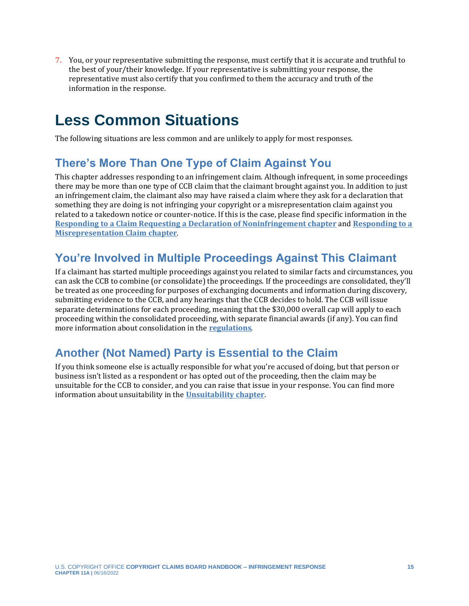**7.** You, or your representative submitting the response, must certify that it is accurate and truthful to the best of your/their knowledge. If your representative is submitting your response, the representative must also certify that you confirmed to them the accuracy and truth of the information in the response.

# <span id="page-14-0"></span>**Less Common Situations**

The following situations are less common and are unlikely to apply for most responses.

## <span id="page-14-1"></span>**There's More Than One Type of Claim Against You**

This chapter addresses responding to an infringement claim. Although infrequent, in some proceedings there may be more than one type of CCB claim that the claimant brought against you. In addition to just an infringement claim, the claimant also may have raised a claim where they ask for a declaration that something they are doing is not infringing your copyright or a misrepresentation claim against you related to a takedown notice or counter-notice. If this is the case, please find specific information in the **[Responding to a Claim Requesting a Declaration of Noninfringement chapter](https://ccb.gov/handbook/Response-Noninfringement.pdf)** and **[Responding to a](https://ccb.gov/handbook/Response-Misrepresentation.pdf)  [Misrepresentation Claim](https://ccb.gov/handbook/Response-Misrepresentation.pdf) chapter**.

## <span id="page-14-2"></span>**You're Involved in Multiple Proceedings Against This Claimant**

If a claimant has started multiple proceedings against you related to similar facts and circumstances, you can ask the CCB to combine (or consolidate) the proceedings. If the proceedings are consolidated, they'll be treated as one proceeding for purposes of exchanging documents and information during discovery, submitting evidence to the CCB, and any hearings that the CCB decides to hold. The CCB will issue separate determinations for each proceeding, meaning that the \$30,000 overall cap will apply to each proceeding within the consolidated proceeding, with separate financial awards (if any). You can find more information about consolidation in the **[regulations](https://www.govinfo.gov/content/pkg/FR-2022-05-17/pdf/2022-10466.pdf)**.

## <span id="page-14-3"></span>**Another (Not Named) Party is Essential to the Claim**

If you think someone else is actually responsible for what you're accused of doing, but that person or business isn't listed as a respondent or has opted out of the proceeding, then the claim may be unsuitable for the CCB to consider, and you can raise that issue in your response. You can find more information about unsuitability in the **[Unsuitability chapter](https://ccb.gov/handbook/Unsuitability.pdf)**.